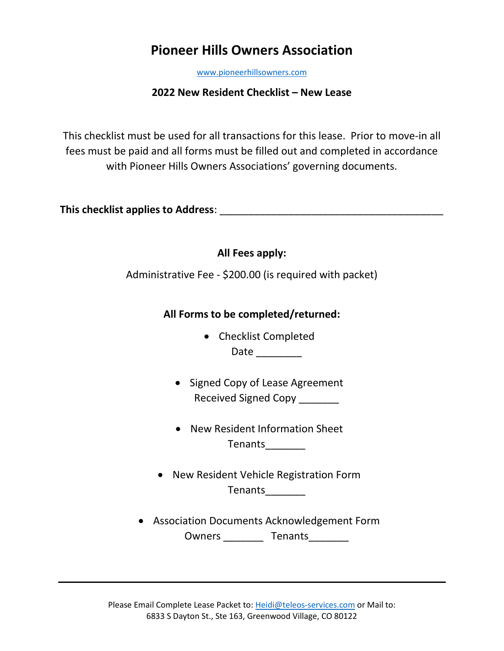# **Pioneer Hills Owners Association**

[www.pioneerhillsowners.com](http://www.pioneerhillsowners.com/)

## **2022 New Resident Checklist – New Lease**

This checklist must be used for all transactions for this lease. Prior to move-in all fees must be paid and all forms must be filled out and completed in accordance with Pioneer Hills Owners Associations' governing documents.

**This checklist applies to Address**: \_\_\_\_\_\_\_\_\_\_\_\_\_\_\_\_\_\_\_\_\_\_\_\_\_\_\_\_\_\_\_\_\_\_\_\_\_\_\_

| All Fees apply: |
|-----------------|
|-----------------|

Administrative Fee - \$200.00 (is required with packet)

## **All Forms to be completed/returned:**

- Checklist Completed Date \_\_\_\_\_\_\_\_\_\_
- Signed Copy of Lease Agreement Received Signed Copy
- New Resident Information Sheet Tenants\_\_\_\_\_\_\_\_\_
- New Resident Vehicle Registration Form Tenants\_\_\_\_\_\_\_
- Association Documents Acknowledgement Form Owners \_\_\_\_\_\_\_\_\_\_\_ Tenants\_\_\_\_\_\_\_\_\_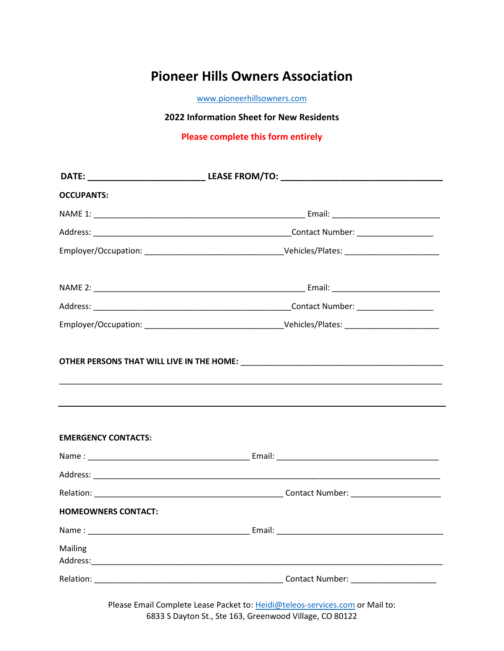# **Pioneer Hills Owners Association**

[www.pioneerhillsowners.com](http://www.pioneerhillsowners.com/)

#### **2022 Information Sheet for New Residents**

**Please complete this form entirely**

| <b>OCCUPANTS:</b>          |  |  |
|----------------------------|--|--|
|                            |  |  |
|                            |  |  |
|                            |  |  |
|                            |  |  |
|                            |  |  |
|                            |  |  |
| <b>EMERGENCY CONTACTS:</b> |  |  |
|                            |  |  |
|                            |  |  |
|                            |  |  |
| <b>HOMEOWNERS CONTACT:</b> |  |  |
|                            |  |  |
| Mailing                    |  |  |
|                            |  |  |

Please Email Complete Lease Packet to: [Heidi@teleos-services.com](mailto:Heidi@teleos-services.com) or Mail to: 6833 S Dayton St., Ste 163, Greenwood Village, CO 80122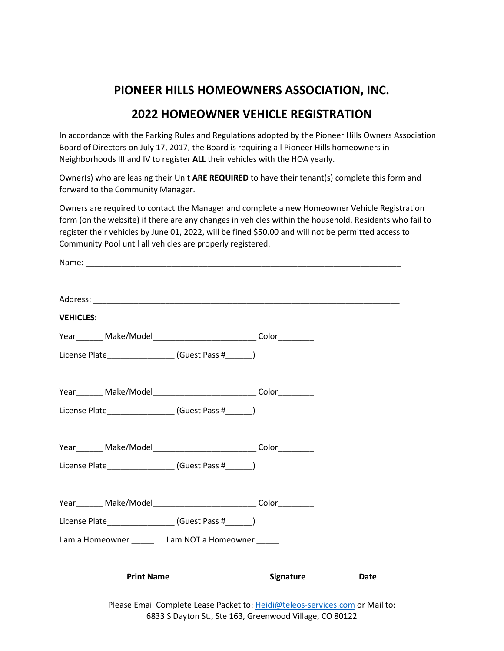# **PIONEER HILLS HOMEOWNERS ASSOCIATION, INC.**

## **2022 HOMEOWNER VEHICLE REGISTRATION**

In accordance with the Parking Rules and Regulations adopted by the Pioneer Hills Owners Association Board of Directors on July 17, 2017, the Board is requiring all Pioneer Hills homeowners in Neighborhoods III and IV to register **ALL** their vehicles with the HOA yearly.

Owner(s) who are leasing their Unit **ARE REQUIRED** to have their tenant(s) complete this form and forward to the Community Manager.

Owners are required to contact the Manager and complete a new Homeowner Vehicle Registration form (on the website) if there are any changes in vehicles within the household. Residents who fail to register their vehicles by June 01, 2022, will be fined \$50.00 and will not be permitted access to Community Pool until all vehicles are properly registered.

| <b>VEHICLES:</b>                                                          |                  |      |
|---------------------------------------------------------------------------|------------------|------|
| Year________ Make/Model_________________________________ Color___________ |                  |      |
| License Plate_______________________(Guest Pass #_______)                 |                  |      |
|                                                                           |                  |      |
| License Plate______________________(Guest Pass #_______)                  |                  |      |
| Year________ Make/Model_________________________________ Color___________ |                  |      |
| License Plate__________________(Guest Pass #______)                       |                  |      |
|                                                                           |                  |      |
| License Plate________________(Guest Pass #______)                         |                  |      |
| I am a Homeowner ________ I am NOT a Homeowner ______                     |                  |      |
| <b>Print Name</b>                                                         | <b>Signature</b> | Date |
|                                                                           |                  |      |

Please Email Complete Lease Packet to: [Heidi@teleos-services.com](mailto:Heidi@teleos-services.com) or Mail to: 6833 S Dayton St., Ste 163, Greenwood Village, CO 80122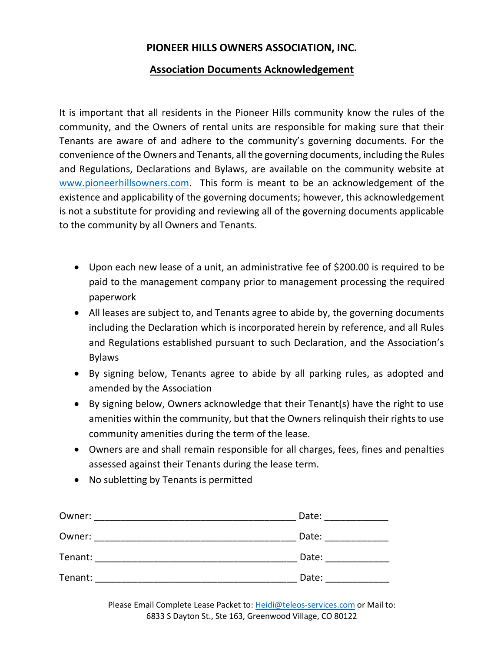## **PIONEER HILLS OWNERS ASSOCIATION, INC.**

### **Association Documents Acknowledgement**

It is important that all residents in the Pioneer Hills community know the rules of the community, and the Owners of rental units are responsible for making sure that their Tenants are aware of and adhere to the community's governing documents. For the convenience of the Owners and Tenants, all the governing documents, including the Rules and Regulations, Declarations and Bylaws, are available on the community website at [www.pioneerhillsowners.com.](http://www.pioneerhillsowners.com/) This form is meant to be an acknowledgement of the existence and applicability of the governing documents; however, this acknowledgement is not a substitute for providing and reviewing all of the governing documents applicable to the community by all Owners and Tenants.

- Upon each new lease of a unit, an administrative fee of \$200.00 is required to be paid to the management company prior to management processing the required paperwork
- All leases are subject to, and Tenants agree to abide by, the governing documents including the Declaration which is incorporated herein by reference, and all Rules and Regulations established pursuant to such Declaration, and the Association's Bylaws
- By signing below, Tenants agree to abide by all parking rules, as adopted and amended by the Association
- By signing below, Owners acknowledge that their Tenant(s) have the right to use amenities within the community, but that the Owners relinquish their rights to use community amenities during the term of the lease.
- Owners are and shall remain responsible for all charges, fees, fines and penalties assessed against their Tenants during the lease term.
- No subletting by Tenants is permitted

| Owner:  | Date: |
|---------|-------|
| Owner:  | Date: |
| Tenant: | Date: |
| Tenant: | Date: |

Please Email Complete Lease Packet to: [Heidi@teleos-services.com](mailto:Heidi@teleos-services.com) or Mail to: 6833 S Dayton St., Ste 163, Greenwood Village, CO 80122